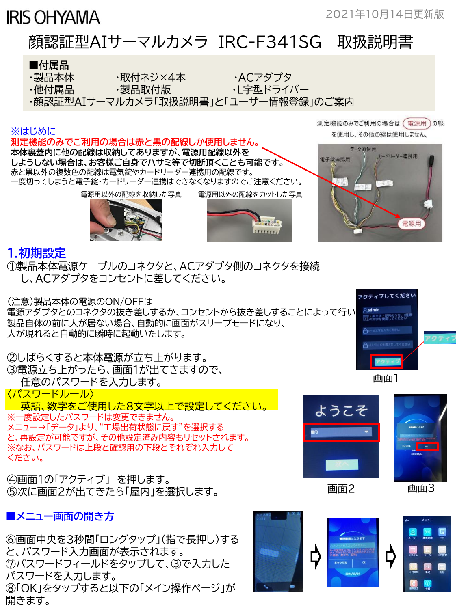# **IRIS OHYAMA**

2021年10月14日更新版

# 顔認証型AIサーマルカメラ IRC-F341SG 取扱説明書

#### **■付属品** ・製品本体 ・取付ネジ×4本 ・ACアダプタ ・他付属品 ・製品取付版 ・ ・ ・ ・ ・ ・ ・ ・ 上字型ドライバー ・顔認証型AIサーマルカメラ「取扱説明書」と「ユーザー情報登録」のご案内 測定機能のみでご利用の場合は (電源用)の線 ※はじめに を使用し、その他の線は使用しません。 **測定機能のみでご利用の場合は赤と黒の配線しか使用しません。 本体裏蓋内に他の配線は収納してありますが、電源用配線以外を** 电子线速携用 **しようしない場合は、お客様ご自身でハサミ等で切断頂くことも可能です。**

データ通信用 カードリーダー連携用 赤と黒以外の複数色の配線は電気錠やカードリーダー連携用の配線です。 一度切ってしまうと電子錠・カードリーダー連携はできなくなりますのでご注意ください。 電源用以外の配線を収納した写真 電源用以外の配線をカットした写真 Latter 電源用

 $1111111$ 

#### **1.初期設定**

①製品本体電源ケーブルのコネクタと、ACアダプタ側のコネクタを接続 し、ACアダプタをコンセントに差してください。

(注意)製品本体の電源のON/OFFは

電源アダプタとのコネクタの抜き差しするか、コンセントから抜き差しすることによって行い<mark>。 Aadmin</mark><br>制圧力はのサームがThtossはAsteroidents(Theories) 製品自体の前に人が居ない場合、自動的に画面がスリープモードになり、 人が現れると自動的に瞬時に起動いたします。

②しばらくすると本体電源が立ち上がります。 ③電源立ち上がったら、画面1が出てきますので、 任意のパスワードを入力します。

〈パスワードルール〉

英語、数字をご使用した8文字以上で設定してください。

※一度設定したパスワードは変更できません。 メニュー→「データ」より、"工場出荷状態に戻す"を選択する と、再設定が可能ですが、その他設定済み内容もリセットされます。 ※なお、パスワードは上段と確認用の下段とそれぞれ入力して ください。

④画面1の「アクティブ」 を押します。 ⑤次に画面2が出てきたら「屋内」を選択します。

### **■メニュー画面の開き方**

⑥画面中央を3秒間「ロングタップ」(指で長押し)する と、パスワード入力画面が表示されます。 ⑦パスワードフィールドをタップして、③で入力した パスワードを入力します。 ⑧「OK」をタップすると以下の「メイン操作ページ」が 開きます。







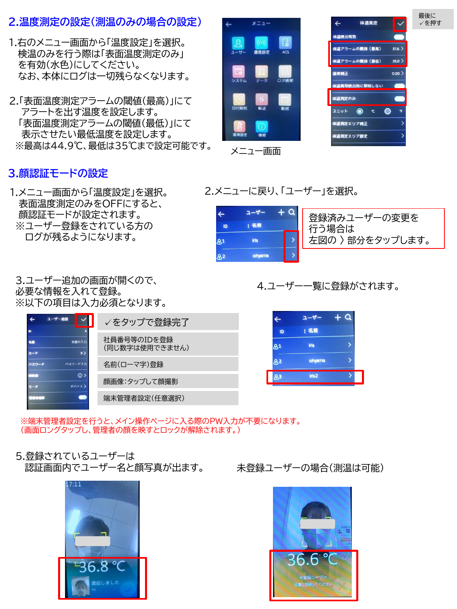#### **2.温度測定の設定(測温のみの場合の設定)**

- 1.右のメニュー画面から「温度設定」を選択。 検温のみを行う際は「表面温度測定のみ」 を有効(水色)にしてください。 なお、本体にログは一切残らなくなります。
- 2.「表面温度測定アラームの閾値(最高)」にて アラートを出す温度を設定します。 「表面温度測定アラームの閾値(最低)」にて 表示させたい最低温度を設定します。 ※最高は44.9℃、最低は35℃まで設定可能です。

## **3.顔認証モードの設定**

1.メニュー画面から「温度設定」を選択。 表面温度測定のみをOFFにすると、 顔認証モードが設定されます。 ※ユーザー登録をされている方の ログが残るようになります。

3.ユーザー追加の画面が開くので、 必要な情報を入れて登録。 ※以下の項目は入力必須となります。

| ユーザー追加                           | ✓をタップで登録完了                    |   |
|----------------------------------|-------------------------------|---|
| Đ<br>名前の入力<br>$\circ$<br>$n - k$ | 社員番号等のIDを登録<br>(同じ数字は使用できません) | æ |
| パスワード入力<br>パスワード                 | 名前(ローマ字)登録                    | 8 |
| $\odot$<br>デバイス〉                 | 顔画像:タップして顔撮影                  |   |
|                                  | 端末管理者設定(任意選択)                 |   |

※端末管理者設定を行うと、メイン操作ページに入る際のPW入力が不要になります。 (画面ロングタップし、管理者の顔を映すとロックが解除されます。)

5.登録されているユーザーは 認証画面内でユーザー名と顔写真が出ます。





最後に ✓を押す

メニュー画面

2.メニューに戻り、「ユーザー」を選択。



#### 4.ユーザー一覧に登録がされます。

| $\leftarrow$   | ユーザー   |  |
|----------------|--------|--|
| ID             | 名前     |  |
| 81             | iris   |  |
| 82             | ohyama |  |
| 8 <sup>3</sup> | iris2  |  |
|                |        |  |

未登録ユーザーの場合(測温は可能)

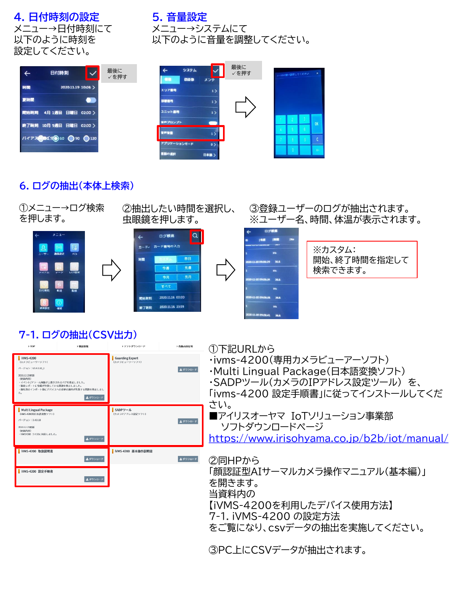#### **4. 日付時刻の設定** メニュー→日付時刻にて 以下のように時刻を 設定してください。

#### **5. 音量設定** メニュー→システムにて 以下のように音量を調整してください。

| ♦   | 日付時刻                    |  |                    |  | 最後に<br>√を押す |
|-----|-------------------------|--|--------------------|--|-------------|
| 時間  |                         |  | 2020.11.19 10:08 > |  |             |
| 夏時間 |                         |  |                    |  |             |
|     | 開始時刻 4月1週目 日曜日 02:00 〉  |  |                    |  |             |
|     | 終了時刻 10月5週目 日曜日 02:00 > |  |                    |  |             |
|     | パイアス BIC分 60 ●90 ●120   |  |                    |  |             |
|     |                         |  |                    |  |             |

| システム<br>偏覆<br>明画像<br>メンテ  | 最後に<br>√を押す |   | □~10の間で設定してください |                | $\boldsymbol{\times}$ |
|---------------------------|-------------|---|-----------------|----------------|-----------------------|
| エリア画号<br>1)<br>部宿宿号<br>1) |             |   |                 |                |                       |
| ユニット番号<br>1)              |             |   |                 |                |                       |
| 音声プロンプト                   |             |   | 2               | B              | OK                    |
| 寶声賞量<br>1)                |             | а | R               | $\mathfrak{g}$ |                       |
| アプリケーションモード<br>$\circ$    |             |   | A               | ø              | Ċ                     |
| 宮脳の選択<br>日本語 >            |             |   | n               |                | ÷                     |

## **6. ログの抽出(本体上検索)**

| ①メニュー→ログ検索<br>を押します。                                                                                                                                                                |                   | ②抽出したい時間を選択し、<br>虫眼鏡を押します。                                    |                                                                    | ③登録ユーザーのログが抽出されます。<br>※ユーザー名、時間、体温が表示されます。                                                                                                         |
|-------------------------------------------------------------------------------------------------------------------------------------------------------------------------------------|-------------------|---------------------------------------------------------------|--------------------------------------------------------------------|----------------------------------------------------------------------------------------------------------------------------------------------------|
| メニュー                                                                                                                                                                                | LJ.               | ログ検索<br>カード カード番号の入力<br>時間<br>今週<br>今月<br>すべて<br>閉検筋刻<br>客了時刻 | $\alpha$<br>昨日<br>先週<br>先月<br>2020.11.18 00:00<br>2020.11.18 23:59 | ログ検索<br>※カスタム:<br>開始、終了時間を指定して<br>0-11-20 09:08:29<br>36.8<br>検索できます。<br>36.8<br>36.8<br>111-20 09:08:38<br>11-20 09:08:41 36.8                    |
| 5.701                                                                                                                                                                               | 7-1. ログの抽出(CSV出力) | > ソフトダウンロード                                                   | 各部占所有地                                                             |                                                                                                                                                    |
| <b>IVMS-4200</b><br>(カメラビューワーソフト)<br>パージョン:V340.10  <br>2020.12.23申算<br>(申請内容)<br>イベント/アラーム画像が上書きされるパグを修正しました。<br>勤怠レポートに情報が欠落している問題を修正しました。<br>部に真のインボート後にデバイスへの変更の適用が生敗する問題を修正しまし | 主ダウンロード           | <b>Guarding Expert</b><br>(カメラビューワーソフト)                       | 主ダウンロード                                                            | ①下記URLから<br>・ivms-4200(専用カメラビューアーソフト)<br>・Multi Lingual Package(日本語変換ソフト)<br>・SADPツール(カメラのIPアドレス設定ツール)を、<br>「ivms-4200 設定手順書」に従ってインストールしてくだ<br>さい。 |
| <b>Multi Lingual Package</b><br>(MMS-4200用日本語変換ソフト)<br>パージョン:340.10<br>2020.12.23申請<br>(更新内容)<br>WMS4200 3.4.10に対応しました。                                                             | 主ダウンロード           | SADPツール<br>(カメラIPアドレス設定ソフト)                                   | 主ダウンロート                                                            | ■アイリスオーヤマ IoTソリューション事業部<br>ソフトダウンロードページ<br>https://www.irisohyama.co.jp/b2b/iot/manual/                                                            |
| iVMS-4200 取扱説明書                                                                                                                                                                     | ▲ダウンロード           | iVMS-4200 基本操作説明書                                             | ▲ダウンロード                                                            | ②同HPから                                                                                                                                             |
| iVMS-4200 設定手順書                                                                                                                                                                     | ▲ダウンロード           |                                                               |                                                                    | 「顔認証型AIサーマルカメラ操作マニュアル(基本編)」<br>を開きます。<br>当資料内の<br>【iVMS-4200を利用したデバイス使用方法】<br>7-1. iVMS-4200 の設定方法                                                 |
|                                                                                                                                                                                     |                   |                                                               |                                                                    | をご覧になり、csvデータの抽出を実施してください。                                                                                                                         |

③PC上にCSVデータが抽出されます。